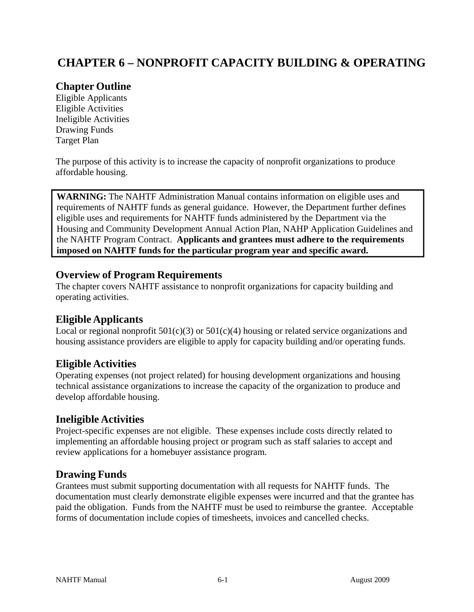# **CHAPTER 6 – NONPROFIT CAPACITY BUILDING & OPERATING**

# **Chapter Outline**

Eligible Applicants Eligible Activities Ineligible Activities Drawing Funds Target Plan

The purpose of this activity is to increase the capacity of nonprofit organizations to produce affordable housing.

**WARNING:** The NAHTF Administration Manual contains information on eligible uses and requirements of NAHTF funds as general guidance. However, the Department further defines eligible uses and requirements for NAHTF funds administered by the Department via the Housing and Community Development Annual Action Plan, NAHP Application Guidelines and the NAHTF Program Contract. **Applicants and grantees must adhere to the requirements imposed on NAHTF funds for the particular program year and specific award.**

## **Overview of Program Requirements**

The chapter covers NAHTF assistance to nonprofit organizations for capacity building and operating activities.

#### **Eligible Applicants**

Local or regional nonprofit  $501(c)(3)$  or  $501(c)(4)$  housing or related service organizations and housing assistance providers are eligible to apply for capacity building and/or operating funds.

## **Eligible Activities**

Operating expenses (not project related) for housing development organizations and housing technical assistance organizations to increase the capacity of the organization to produce and develop affordable housing.

#### **Ineligible Activities**

Project-specific expenses are not eligible. These expenses include costs directly related to implementing an affordable housing project or program such as staff salaries to accept and review applications for a homebuyer assistance program.

## **Drawing Funds**

Grantees must submit supporting documentation with all requests for NAHTF funds. The documentation must clearly demonstrate eligible expenses were incurred and that the grantee has paid the obligation. Funds from the NAHTF must be used to reimburse the grantee. Acceptable forms of documentation include copies of timesheets, invoices and cancelled checks.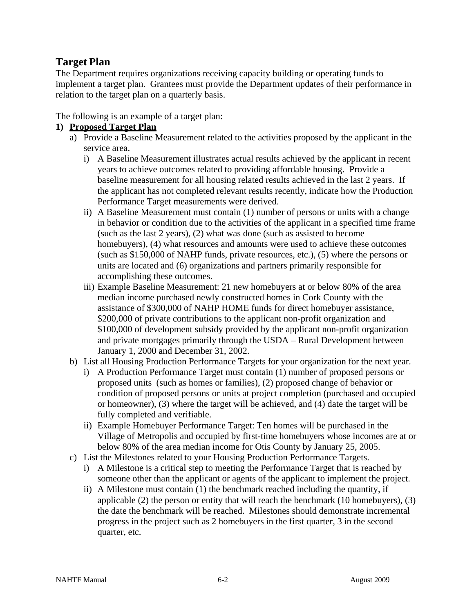# **Target Plan**

The Department requires organizations receiving capacity building or operating funds to implement a target plan. Grantees must provide the Department updates of their performance in relation to the target plan on a quarterly basis.

The following is an example of a target plan:

#### **1) Proposed Target Plan**

- a) Provide a Baseline Measurement related to the activities proposed by the applicant in the service area.
	- i) A Baseline Measurement illustrates actual results achieved by the applicant in recent years to achieve outcomes related to providing affordable housing. Provide a baseline measurement for all housing related results achieved in the last 2 years. If the applicant has not completed relevant results recently, indicate how the Production Performance Target measurements were derived.
	- ii) A Baseline Measurement must contain (1) number of persons or units with a change in behavior or condition due to the activities of the applicant in a specified time frame (such as the last 2 years), (2) what was done (such as assisted to become homebuyers), (4) what resources and amounts were used to achieve these outcomes (such as \$150,000 of NAHP funds, private resources, etc.), (5) where the persons or units are located and (6) organizations and partners primarily responsible for accomplishing these outcomes.
	- iii) Example Baseline Measurement: 21 new homebuyers at or below 80% of the area median income purchased newly constructed homes in Cork County with the assistance of \$300,000 of NAHP HOME funds for direct homebuyer assistance, \$200,000 of private contributions to the applicant non-profit organization and \$100,000 of development subsidy provided by the applicant non-profit organization and private mortgages primarily through the USDA – Rural Development between January 1, 2000 and December 31, 2002.
- b) List all Housing Production Performance Targets for your organization for the next year.
	- i) A Production Performance Target must contain (1) number of proposed persons or proposed units (such as homes or families), (2) proposed change of behavior or condition of proposed persons or units at project completion (purchased and occupied or homeowner), (3) where the target will be achieved, and (4) date the target will be fully completed and verifiable.
	- ii) Example Homebuyer Performance Target: Ten homes will be purchased in the Village of Metropolis and occupied by first-time homebuyers whose incomes are at or below 80% of the area median income for Otis County by January 25, 2005.
- c) List the Milestones related to your Housing Production Performance Targets.
	- i) A Milestone is a critical step to meeting the Performance Target that is reached by someone other than the applicant or agents of the applicant to implement the project.
	- ii) A Milestone must contain (1) the benchmark reached including the quantity, if applicable (2) the person or entity that will reach the benchmark (10 homebuyers), (3) the date the benchmark will be reached. Milestones should demonstrate incremental progress in the project such as 2 homebuyers in the first quarter, 3 in the second quarter, etc.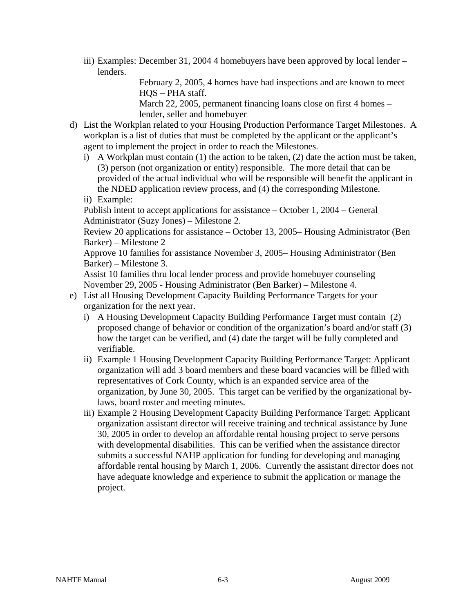iii) Examples: December 31, 2004 4 homebuyers have been approved by local lender – lenders.

> February 2, 2005, 4 homes have had inspections and are known to meet HQS – PHA staff.

March 22, 2005, permanent financing loans close on first 4 homes – lender, seller and homebuyer

- d) List the Workplan related to your Housing Production Performance Target Milestones. A workplan is a list of duties that must be completed by the applicant or the applicant's agent to implement the project in order to reach the Milestones.
	- i) A Workplan must contain (1) the action to be taken, (2) date the action must be taken, (3) person (not organization or entity) responsible. The more detail that can be provided of the actual individual who will be responsible will benefit the applicant in the NDED application review process, and (4) the corresponding Milestone.
	- ii) Example:

Publish intent to accept applications for assistance – October 1, 2004 – General Administrator (Suzy Jones) – Milestone 2.

Review 20 applications for assistance – October 13, 2005– Housing Administrator (Ben Barker) – Milestone 2

Approve 10 families for assistance November 3, 2005– Housing Administrator (Ben Barker) – Milestone 3.

Assist 10 families thru local lender process and provide homebuyer counseling November 29, 2005 - Housing Administrator (Ben Barker) – Milestone 4.

- e) List all Housing Development Capacity Building Performance Targets for your organization for the next year.
	- i) A Housing Development Capacity Building Performance Target must contain (2) proposed change of behavior or condition of the organization's board and/or staff (3) how the target can be verified, and (4) date the target will be fully completed and verifiable.
	- ii) Example 1 Housing Development Capacity Building Performance Target: Applicant organization will add 3 board members and these board vacancies will be filled with representatives of Cork County, which is an expanded service area of the organization, by June 30, 2005. This target can be verified by the organizational bylaws, board roster and meeting minutes.
	- iii) Example 2 Housing Development Capacity Building Performance Target: Applicant organization assistant director will receive training and technical assistance by June 30, 2005 in order to develop an affordable rental housing project to serve persons with developmental disabilities. This can be verified when the assistance director submits a successful NAHP application for funding for developing and managing affordable rental housing by March 1, 2006. Currently the assistant director does not have adequate knowledge and experience to submit the application or manage the project.